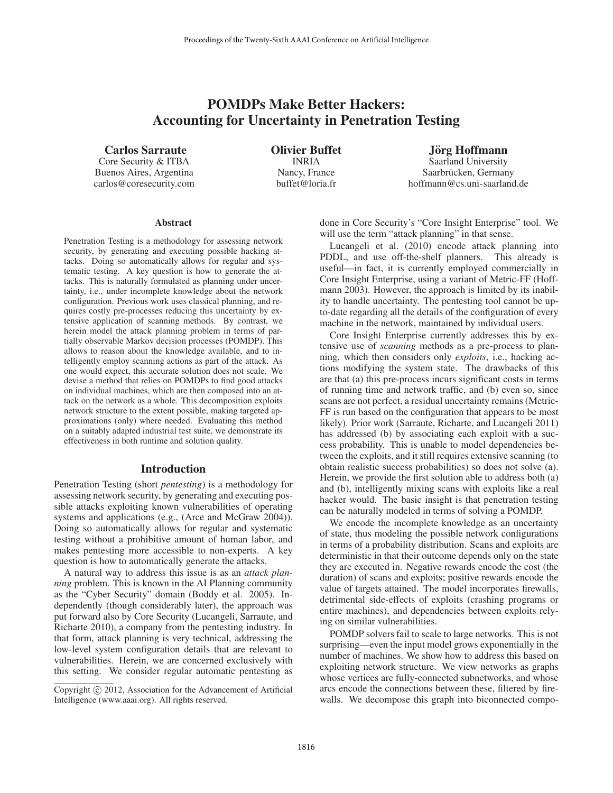# POMDPs Make Better Hackers: Accounting for Uncertainty in Penetration Testing

Carlos Sarraute

Core Security & ITBA Buenos Aires, Argentina carlos@coresecurity.com Olivier Buffet INRIA Nancy, France buffet@loria.fr

Jörg Hoffmann Saarland University Saarbrücken, Germany hoffmann@cs.uni-saarland.de

#### **Abstract**

Penetration Testing is a methodology for assessing network security, by generating and executing possible hacking attacks. Doing so automatically allows for regular and systematic testing. A key question is how to generate the attacks. This is naturally formulated as planning under uncertainty, i.e., under incomplete knowledge about the network configuration. Previous work uses classical planning, and requires costly pre-processes reducing this uncertainty by extensive application of scanning methods. By contrast, we herein model the attack planning problem in terms of partially observable Markov decision processes (POMDP). This allows to reason about the knowledge available, and to intelligently employ scanning actions as part of the attack. As one would expect, this accurate solution does not scale. We devise a method that relies on POMDPs to find good attacks on individual machines, which are then composed into an attack on the network as a whole. This decomposition exploits network structure to the extent possible, making targeted approximations (only) where needed. Evaluating this method on a suitably adapted industrial test suite, we demonstrate its effectiveness in both runtime and solution quality.

#### Introduction

Penetration Testing (short *pentesting*) is a methodology for assessing network security, by generating and executing possible attacks exploiting known vulnerabilities of operating systems and applications (e.g., (Arce and McGraw 2004)). Doing so automatically allows for regular and systematic testing without a prohibitive amount of human labor, and makes pentesting more accessible to non-experts. A key question is how to automatically generate the attacks.

A natural way to address this issue is as an *attack planning* problem. This is known in the AI Planning community as the "Cyber Security" domain (Boddy et al. 2005). Independently (though considerably later), the approach was put forward also by Core Security (Lucangeli, Sarraute, and Richarte 2010), a company from the pentesting industry. In that form, attack planning is very technical, addressing the low-level system configuration details that are relevant to vulnerabilities. Herein, we are concerned exclusively with this setting. We consider regular automatic pentesting as

done in Core Security's "Core Insight Enterprise" tool. We will use the term "attack planning" in that sense.

Lucangeli et al. (2010) encode attack planning into PDDL, and use off-the-shelf planners. This already is useful—in fact, it is currently employed commercially in Core Insight Enterprise, using a variant of Metric-FF (Hoffmann 2003). However, the approach is limited by its inability to handle uncertainty. The pentesting tool cannot be upto-date regarding all the details of the configuration of every machine in the network, maintained by individual users.

Core Insight Enterprise currently addresses this by extensive use of *scanning* methods as a pre-process to planning, which then considers only *exploits*, i.e., hacking actions modifying the system state. The drawbacks of this are that (a) this pre-process incurs significant costs in terms of running time and network traffic, and (b) even so, since scans are not perfect, a residual uncertainty remains (Metric-FF is run based on the configuration that appears to be most likely). Prior work (Sarraute, Richarte, and Lucangeli 2011) has addressed (b) by associating each exploit with a success probability. This is unable to model dependencies between the exploits, and it still requires extensive scanning (to obtain realistic success probabilities) so does not solve (a). Herein, we provide the first solution able to address both (a) and (b), intelligently mixing scans with exploits like a real hacker would. The basic insight is that penetration testing can be naturally modeled in terms of solving a POMDP.

We encode the incomplete knowledge as an uncertainty of state, thus modeling the possible network configurations in terms of a probability distribution. Scans and exploits are deterministic in that their outcome depends only on the state they are executed in. Negative rewards encode the cost (the duration) of scans and exploits; positive rewards encode the value of targets attained. The model incorporates firewalls, detrimental side-effects of exploits (crashing programs or entire machines), and dependencies between exploits relying on similar vulnerabilities.

POMDP solvers fail to scale to large networks. This is not surprising—even the input model grows exponentially in the number of machines. We show how to address this based on exploiting network structure. We view networks as graphs whose vertices are fully-connected subnetworks, and whose arcs encode the connections between these, filtered by firewalls. We decompose this graph into biconnected compo-

Copyright (c) 2012, Association for the Advancement of Artificial Intelligence (www.aaai.org). All rights reserved.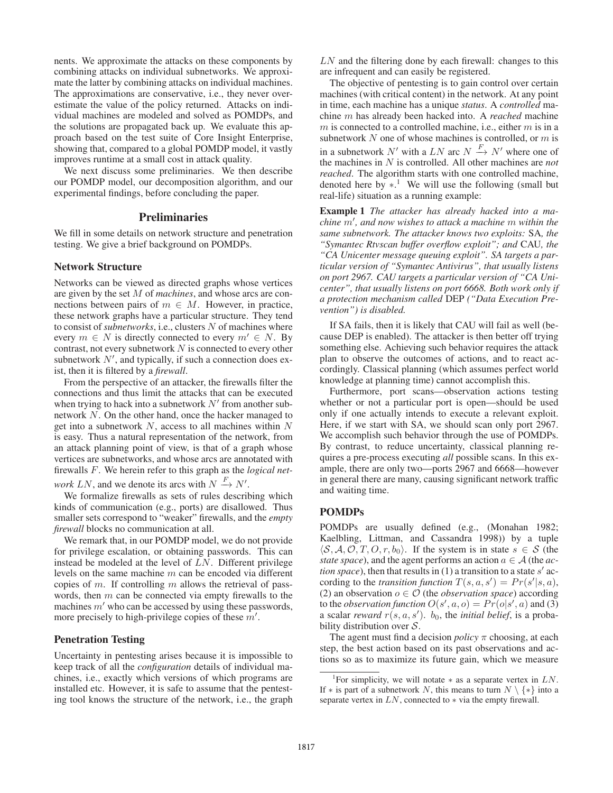nents. We approximate the attacks on these components by combining attacks on individual subnetworks. We approximate the latter by combining attacks on individual machines. The approximations are conservative, i.e., they never overestimate the value of the policy returned. Attacks on individual machines are modeled and solved as POMDPs, and the solutions are propagated back up. We evaluate this approach based on the test suite of Core Insight Enterprise, showing that, compared to a global POMDP model, it vastly improves runtime at a small cost in attack quality.

We next discuss some preliminaries. We then describe our POMDP model, our decomposition algorithm, and our experimental findings, before concluding the paper.

#### **Preliminaries**

We fill in some details on network structure and penetration testing. We give a brief background on POMDPs.

#### Network Structure

Networks can be viewed as directed graphs whose vertices are given by the set M of *machines*, and whose arcs are connections between pairs of  $m \in M$ . However, in practice, these network graphs have a particular structure. They tend to consist of *subnetworks*, i.e., clusters N of machines where every  $m \in N$  is directly connected to every  $m' \in N$ . By contrast, not every subnetwork  $N$  is connected to every other subnetwork  $N'$ , and typically, if such a connection does exist, then it is filtered by a *firewall*.

From the perspective of an attacker, the firewalls filter the connections and thus limit the attacks that can be executed when trying to hack into a subnetwork  $N'$  from another subnetwork N. On the other hand, once the hacker managed to get into a subnetwork  $N$ , access to all machines within  $N$ is easy. Thus a natural representation of the network, from an attack planning point of view, is that of a graph whose vertices are subnetworks, and whose arcs are annotated with firewalls F. We herein refer to this graph as the *logical net-*

*work*  $LN$ , and we denote its arcs with  $N \stackrel{F}{\rightarrow} N'$ .

We formalize firewalls as sets of rules describing which kinds of communication (e.g., ports) are disallowed. Thus smaller sets correspond to "weaker" firewalls, and the *empty firewall* blocks no communication at all.

We remark that, in our POMDP model, we do not provide for privilege escalation, or obtaining passwords. This can instead be modeled at the level of  $LN$ . Different privilege levels on the same machine m can be encoded via different copies of m. If controlling m allows the retrieval of passwords, then  $m$  can be connected via empty firewalls to the machines  $m'$  who can be accessed by using these passwords, more precisely to high-privilege copies of these  $m'$ .

## Penetration Testing

Uncertainty in pentesting arises because it is impossible to keep track of all the *configuration* details of individual machines, i.e., exactly which versions of which programs are installed etc. However, it is safe to assume that the pentesting tool knows the structure of the network, i.e., the graph  $LN$  and the filtering done by each firewall: changes to this are infrequent and can easily be registered.

The objective of pentesting is to gain control over certain machines (with critical content) in the network. At any point in time, each machine has a unique *status*. A *controlled* machine m has already been hacked into. A *reached* machine  $m$  is connected to a controlled machine, i.e., either  $m$  is in a subnetwork  $N$  one of whose machines is controlled, or  $m$  is in a subnetwork  $N'$  with a LN arc  $N \stackrel{F}{\rightarrow} N'$  where one of the machines in N is controlled. All other machines are *not reached*. The algorithm starts with one controlled machine, denoted here by  $*$ <sup>1</sup>. We will use the following (small but real-life) situation as a running example:

Example 1 *The attacker has already hacked into a machine* m<sup>0</sup> *, and now wishes to attack a machine* m *within the same subnetwork. The attacker knows two exploits:* SA*, the "Symantec Rtvscan buffer overflow exploit"; and* CAU*, the "CA Unicenter message queuing exploit". SA targets a particular version of "Symantec Antivirus", that usually listens on port 2967. CAU targets a particular version of "CA Unicenter", that usually listens on port 6668. Both work only if a protection mechanism called* DEP *("Data Execution Prevention") is disabled.*

If SA fails, then it is likely that CAU will fail as well (because DEP is enabled). The attacker is then better off trying something else. Achieving such behavior requires the attack plan to observe the outcomes of actions, and to react accordingly. Classical planning (which assumes perfect world knowledge at planning time) cannot accomplish this.

Furthermore, port scans—observation actions testing whether or not a particular port is open—should be used only if one actually intends to execute a relevant exploit. Here, if we start with SA, we should scan only port 2967. We accomplish such behavior through the use of POMDPs. By contrast, to reduce uncertainty, classical planning requires a pre-process executing *all* possible scans. In this example, there are only two—ports 2967 and 6668—however in general there are many, causing significant network traffic and waiting time.

# POMDPs

POMDPs are usually defined (e.g., (Monahan 1982; Kaelbling, Littman, and Cassandra 1998)) by a tuple  $\langle S, A, O, T, O, r, b_0 \rangle$ . If the system is in state  $s \in S$  (the *state space*), and the agent performs an action  $a \in A$  (the *action space*), then that results in (1) a transition to a state  $s'$  according to the *transition function*  $T(s, a, s') = Pr(s'|s, a)$ , (2) an observation  $o \in \mathcal{O}$  (the *observation space*) according to the *observation function*  $O(s', a, o) = Pr(o|s', a)$  and (3) a scalar *reward*  $r(s, a, s')$ .  $b_0$ , the *initial belief*, is a probability distribution over  $S$ .

The agent must find a decision  $policy \pi$  choosing, at each step, the best action based on its past observations and actions so as to maximize its future gain, which we measure

<sup>&</sup>lt;sup>1</sup>For simplicity, we will notate  $*$  as a separate vertex in  $LN$ . If \* is part of a subnetwork N, this means to turn  $N \setminus \{*\}$  into a separate vertex in  $LN$ , connected to  $*$  via the empty firewall.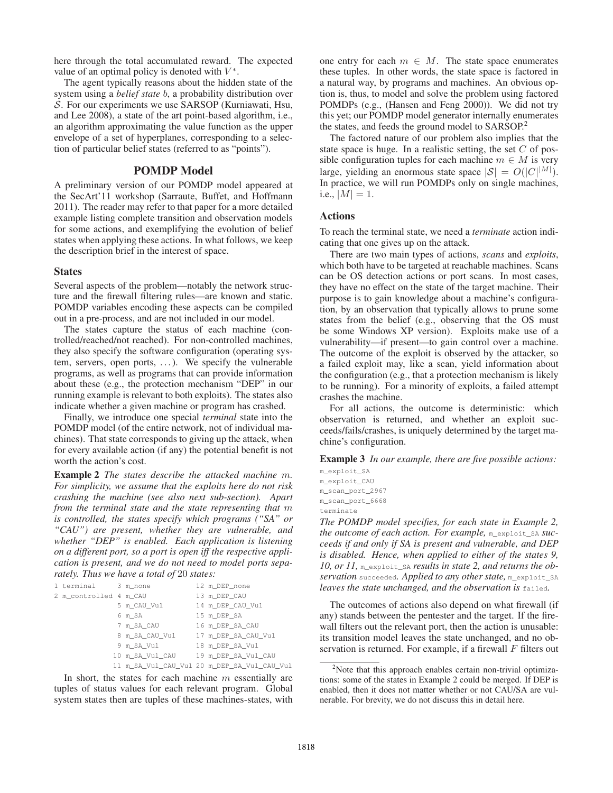here through the total accumulated reward. The expected value of an optimal policy is denoted with  $V^*$ .

The agent typically reasons about the hidden state of the system using a *belief state* b, a probability distribution over S. For our experiments we use SARSOP (Kurniawati, Hsu, and Lee 2008), a state of the art point-based algorithm, i.e., an algorithm approximating the value function as the upper envelope of a set of hyperplanes, corresponding to a selection of particular belief states (referred to as "points").

# POMDP Model

A preliminary version of our POMDP model appeared at the SecArt'11 workshop (Sarraute, Buffet, and Hoffmann 2011). The reader may refer to that paper for a more detailed example listing complete transition and observation models for some actions, and exemplifying the evolution of belief states when applying these actions. In what follows, we keep the description brief in the interest of space.

#### States

Several aspects of the problem—notably the network structure and the firewall filtering rules—are known and static. POMDP variables encoding these aspects can be compiled out in a pre-process, and are not included in our model.

The states capture the status of each machine (controlled/reached/not reached). For non-controlled machines, they also specify the software configuration (operating system, servers, open ports, ...). We specify the vulnerable programs, as well as programs that can provide information about these (e.g., the protection mechanism "DEP" in our running example is relevant to both exploits). The states also indicate whether a given machine or program has crashed.

Finally, we introduce one special *terminal* state into the POMDP model (of the entire network, not of individual machines). That state corresponds to giving up the attack, when for every available action (if any) the potential benefit is not worth the action's cost.

Example 2 *The states describe the attacked machine* m*. For simplicity, we assume that the exploits here do not risk crashing the machine (see also next sub-section). Apart from the terminal state and the state representing that* m *is controlled, the states specify which programs ("SA" or "CAU") are present, whether they are vulnerable, and whether "DEP" is enabled. Each application is listening on a different port, so a port is open iff the respective application is present, and we do not need to model ports separately. Thus we have a total of* 20 *states:*

| 1 terminal 3 m_none    |                 | 12 m_DEP_none                               |
|------------------------|-----------------|---------------------------------------------|
| 2 m controlled 4 m CAU |                 | 13 m DEP CAU                                |
|                        | 5 m_CAU_Vul     | 14 m_DEP_CAU_Vul                            |
|                        | 6 m SA          | 15 m_DEP_SA                                 |
|                        | 7 m_SA_CAU      | 16 m DEP SA CAU                             |
|                        | 8 m SA CAU Vul  | 17 m DEP SA CAU Vul                         |
|                        | 9 m_SA_Vul      | 18 m DEP SA Vul                             |
|                        | 10 m SA Vul CAU | 19 m_DEP_SA_Vul_CAU                         |
|                        |                 | 11 m SA Vul CAU Vul 20 m DEP SA Vul CAU Vul |

In short, the states for each machine  $m$  essentially are tuples of status values for each relevant program. Global system states then are tuples of these machines-states, with

one entry for each  $m \in M$ . The state space enumerates these tuples. In other words, the state space is factored in a natural way, by programs and machines. An obvious option is, thus, to model and solve the problem using factored POMDPs (e.g., (Hansen and Feng 2000)). We did not try this yet; our POMDP model generator internally enumerates the states, and feeds the ground model to SARSOP.<sup>2</sup>

The factored nature of our problem also implies that the state space is huge. In a realistic setting, the set  $C$  of possible configuration tuples for each machine  $m \in M$  is very large, yielding an enormous state space  $|\mathcal{S}| = O(|C|^{|M|})$ . In practice, we will run POMDPs only on single machines, i.e.,  $|M| = 1$ .

#### Actions

To reach the terminal state, we need a *terminate* action indicating that one gives up on the attack.

There are two main types of actions, *scans* and *exploits*, which both have to be targeted at reachable machines. Scans can be OS detection actions or port scans. In most cases, they have no effect on the state of the target machine. Their purpose is to gain knowledge about a machine's configuration, by an observation that typically allows to prune some states from the belief (e.g., observing that the OS must be some Windows XP version). Exploits make use of a vulnerability—if present—to gain control over a machine. The outcome of the exploit is observed by the attacker, so a failed exploit may, like a scan, yield information about the configuration (e.g., that a protection mechanism is likely to be running). For a minority of exploits, a failed attempt crashes the machine.

For all actions, the outcome is deterministic: which observation is returned, and whether an exploit succeeds/fails/crashes, is uniquely determined by the target machine's configuration.

Example 3 *In our example, there are five possible actions:*

m\_exploit\_SA m\_exploit\_CAU m\_scan\_port\_2967 m\_scan\_port\_6668 terminate

*The POMDP model specifies, for each state in Example 2, the outcome of each action. For example,* m\_exploit\_SA *succeeds if and only if SA is present and vulnerable, and DEP is disabled. Hence, when applied to either of the states 9, 10, or 11,* m\_exploit\_SA *results in state 2, and returns the observation* succeeded*. Applied to any other state,* m\_exploit\_SA *leaves the state unchanged, and the observation is* failed*.*

The outcomes of actions also depend on what firewall (if any) stands between the pentester and the target. If the firewall filters out the relevant port, then the action is unusable: its transition model leaves the state unchanged, and no observation is returned. For example, if a firewall  $F$  filters out

<sup>&</sup>lt;sup>2</sup>Note that this approach enables certain non-trivial optimizations: some of the states in Example 2 could be merged. If DEP is enabled, then it does not matter whether or not CAU/SA are vulnerable. For brevity, we do not discuss this in detail here.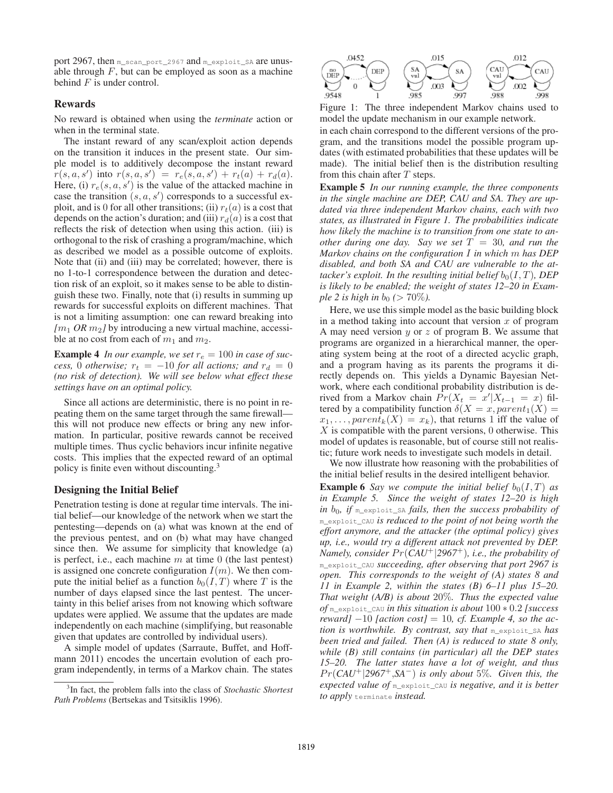port 2967, then m\_scan\_port\_2967 and m\_exploit\_SA are unusable through  $F$ , but can be employed as soon as a machine behind  $F$  is under control.

## Rewards

No reward is obtained when using the *terminate* action or when in the terminal state.

The instant reward of any scan/exploit action depends on the transition it induces in the present state. Our simple model is to additively decompose the instant reward  $r(s, a, s')$  into  $r(s, a, s') = r_e(s, a, s') + r_t(a) + r_d(a)$ . Here, (i)  $r_e(s, a, s')$  is the value of the attacked machine in case the transition  $(s, a, s')$  corresponds to a successful exploit, and is 0 for all other transitions; (ii)  $r_t(a)$  is a cost that depends on the action's duration; and (iii)  $r_d(a)$  is a cost that reflects the risk of detection when using this action. (iii) is orthogonal to the risk of crashing a program/machine, which as described we model as a possible outcome of exploits. Note that (ii) and (iii) may be correlated; however, there is no 1-to-1 correspondence between the duration and detection risk of an exploit, so it makes sense to be able to distinguish these two. Finally, note that (i) results in summing up rewards for successful exploits on different machines. That is not a limiting assumption: one can reward breaking into  $[m_1 \text{ OR } m_2]$  by introducing a new virtual machine, accessible at no cost from each of  $m_1$  and  $m_2$ .

**Example 4** In our example, we set  $r_e = 100$  in case of suc*cess,* 0 *otherwise;*  $r_t = -10$  *for all actions; and*  $r_d = 0$ *(no risk of detection). We will see below what effect these settings have on an optimal policy.*

Since all actions are deterministic, there is no point in repeating them on the same target through the same firewall this will not produce new effects or bring any new information. In particular, positive rewards cannot be received multiple times. Thus cyclic behaviors incur infinite negative costs. This implies that the expected reward of an optimal policy is finite even without discounting.<sup>3</sup>

#### Designing the Initial Belief

Penetration testing is done at regular time intervals. The initial belief—our knowledge of the network when we start the pentesting—depends on (a) what was known at the end of the previous pentest, and on (b) what may have changed since then. We assume for simplicity that knowledge (a) is perfect, i.e., each machine  $m$  at time 0 (the last pentest) is assigned one concrete configuration  $I(m)$ . We then compute the initial belief as a function  $b_0(I, T)$  where T is the number of days elapsed since the last pentest. The uncertainty in this belief arises from not knowing which software updates were applied. We assume that the updates are made independently on each machine (simplifying, but reasonable given that updates are controlled by individual users).

A simple model of updates (Sarraute, Buffet, and Hoffmann 2011) encodes the uncertain evolution of each program independently, in terms of a Markov chain. The states



Figure 1: The three independent Markov chains used to model the update mechanism in our example network.

in each chain correspond to the different versions of the program, and the transitions model the possible program updates (with estimated probabilities that these updates will be made). The initial belief then is the distribution resulting from this chain after  $T$  steps.

Example 5 *In our running example, the three components in the single machine are DEP, CAU and SA. They are updated via three independent Markov chains, each with two states, as illustrated in Figure 1. The probabilities indicate how likely the machine is to transition from one state to another during one day.* Say we set  $T = 30$ , and run the *Markov chains on the configuration* I *in which* m *has DEP disabled, and both SA and CAU are vulnerable to the attacker's exploit. In the resulting initial belief*  $b_0(I, T)$ *, DEP is likely to be enabled; the weight of states 12–20 in Example 2 is high in b*<sub>0</sub> ( $> 70\%$ ).

Here, we use this simple model as the basic building block in a method taking into account that version  $x$  of program A may need version  $y$  or  $z$  of program B. We assume that programs are organized in a hierarchical manner, the operating system being at the root of a directed acyclic graph, and a program having as its parents the programs it directly depends on. This yields a Dynamic Bayesian Network, where each conditional probability distribution is derived from a Markov chain  $\Pr(X_t = x'|X_{t-1} = x)$  filtered by a compatibility function  $\delta(X = x, parent_1(X) =$  $x_1, \ldots, parent_k(X) = x_k$ , that returns 1 iff the value of  $X$  is compatible with the parent versions, 0 otherwise. This model of updates is reasonable, but of course still not realistic; future work needs to investigate such models in detail.

We now illustrate how reasoning with the probabilities of the initial belief results in the desired intelligent behavior.

**Example 6** *Say we compute the initial belief*  $b_0(I, T)$  *as in Example 5. Since the weight of states 12–20 is high in*  $b_0$ , *if* m\_exploit\_SA *fails, then the success probability of* m\_exploit\_CAU *is reduced to the point of not being worth the effort anymore, and the attacker (the optimal policy) gives up, i.e., would try a different attack not prevented by DEP. Namely, consider*  $Pr(CAU^{+}|2967^{+})$ *, i.e., the probability of* m\_exploit\_CAU *succeeding, after observing that port 2967 is open. This corresponds to the weight of (A) states 8 and 11 in Example 2, within the states (B) 6–11 plus 15–20. That weight (A/B) is about* 20%*. Thus the expected value of* m\_exploit\_CAU *in this situation is about* 100 ∗ 0.2 *[success reward* $] -10$  *[action cost]* = 10*, cf. Example 4, so the action is worthwhile. By contrast, say that* m\_exploit\_SA *has been tried and failed. Then (A) is reduced to state 8 only, while (B) still contains (in particular) all the DEP states 15–20. The latter states have a lot of weight, and thus* P r(*CAU*<sup>+</sup>|*2967*<sup>+</sup>,*SA*<sup>−</sup>) *is only about* 5%*. Given this, the expected value of* m\_exploit\_CAU *is negative, and it is better to apply* terminate *instead.*

<sup>3</sup> In fact, the problem falls into the class of *Stochastic Shortest Path Problems* (Bertsekas and Tsitsiklis 1996).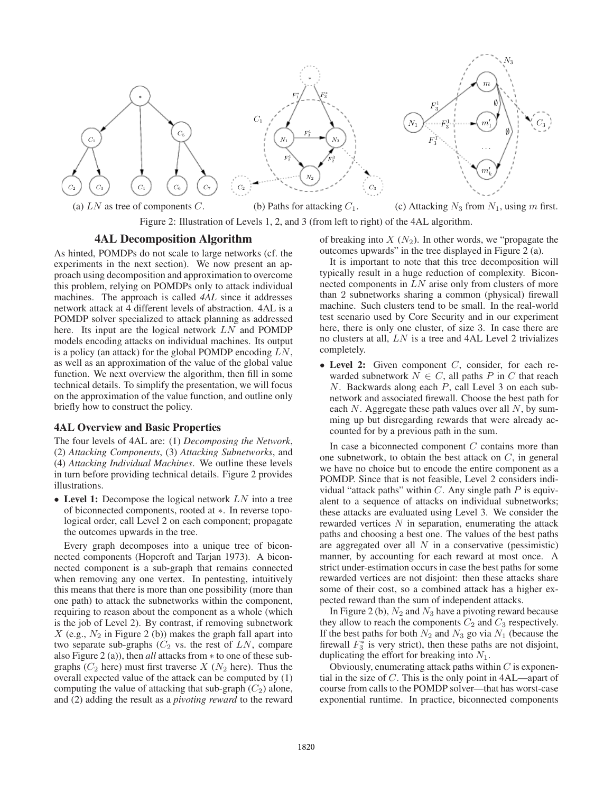

(a) LN as tree of components C. (b) Paths for attacking  $C_1$ . (c) Attacking  $N_3$  from  $N_1$ , using m first.

Figure 2: Illustration of Levels 1, 2, and 3 (from left to right) of the 4AL algorithm.

### 4AL Decomposition Algorithm

As hinted, POMDPs do not scale to large networks (cf. the experiments in the next section). We now present an approach using decomposition and approximation to overcome this problem, relying on POMDPs only to attack individual machines. The approach is called *4AL* since it addresses network attack at 4 different levels of abstraction. 4AL is a POMDP solver specialized to attack planning as addressed here. Its input are the logical network  $LN$  and POMDP models encoding attacks on individual machines. Its output is a policy (an attack) for the global POMDP encoding LN, as well as an approximation of the value of the global value function. We next overview the algorithm, then fill in some technical details. To simplify the presentation, we will focus on the approximation of the value function, and outline only briefly how to construct the policy.

#### 4AL Overview and Basic Properties

The four levels of 4AL are: (1) *Decomposing the Network*, (2) *Attacking Components*, (3) *Attacking Subnetworks*, and (4) *Attacking Individual Machines*. We outline these levels in turn before providing technical details. Figure 2 provides illustrations.

• Level 1: Decompose the logical network  $LN$  into a tree of biconnected components, rooted at ∗. In reverse topological order, call Level 2 on each component; propagate the outcomes upwards in the tree.

Every graph decomposes into a unique tree of biconnected components (Hopcroft and Tarjan 1973). A biconnected component is a sub-graph that remains connected when removing any one vertex. In pentesting, intuitively this means that there is more than one possibility (more than one path) to attack the subnetworks within the component, requiring to reason about the component as a whole (which is the job of Level 2). By contrast, if removing subnetwork X (e.g.,  $N_2$  in Figure 2 (b)) makes the graph fall apart into two separate sub-graphs  $(C_2$  vs. the rest of LN, compare also Figure 2 (a)), then *all* attacks from ∗ to one of these subgraphs ( $C_2$  here) must first traverse  $X$  ( $N_2$  here). Thus the overall expected value of the attack can be computed by (1) computing the value of attacking that sub-graph  $(C_2)$  alone, and (2) adding the result as a *pivoting reward* to the reward

of breaking into  $X(N_2)$ . In other words, we "propagate the outcomes upwards" in the tree displayed in Figure 2 (a).

It is important to note that this tree decomposition will typically result in a huge reduction of complexity. Biconnected components in LN arise only from clusters of more than 2 subnetworks sharing a common (physical) firewall machine. Such clusters tend to be small. In the real-world test scenario used by Core Security and in our experiment here, there is only one cluster, of size 3. In case there are no clusters at all, LN is a tree and 4AL Level 2 trivializes completely.

• Level 2: Given component  $C$ , consider, for each rewarded subnetwork  $N \in C$ , all paths P in C that reach N. Backwards along each P, call Level 3 on each subnetwork and associated firewall. Choose the best path for each  $N$ . Aggregate these path values over all  $N$ , by summing up but disregarding rewards that were already accounted for by a previous path in the sum.

In case a biconnected component  $C$  contains more than one subnetwork, to obtain the best attack on  $C$ , in general we have no choice but to encode the entire component as a POMDP. Since that is not feasible, Level 2 considers individual "attack paths" within  $C$ . Any single path  $P$  is equivalent to a sequence of attacks on individual subnetworks; these attacks are evaluated using Level 3. We consider the rewarded vertices  $N$  in separation, enumerating the attack paths and choosing a best one. The values of the best paths are aggregated over all  $N$  in a conservative (pessimistic) manner, by accounting for each reward at most once. A strict under-estimation occurs in case the best paths for some rewarded vertices are not disjoint: then these attacks share some of their cost, so a combined attack has a higher expected reward than the sum of independent attacks.

In Figure 2 (b),  $N_2$  and  $N_3$  have a pivoting reward because they allow to reach the components  $C_2$  and  $C_3$  respectively. If the best paths for both  $N_2$  and  $N_3$  go via  $N_1$  (because the firewall  $F_3^*$  is very strict), then these paths are not disjoint, duplicating the effort for breaking into  $N_1$ .

Obviously, enumerating attack paths within  $C$  is exponential in the size of C. This is the only point in 4AL—apart of course from calls to the POMDP solver—that has worst-case exponential runtime. In practice, biconnected components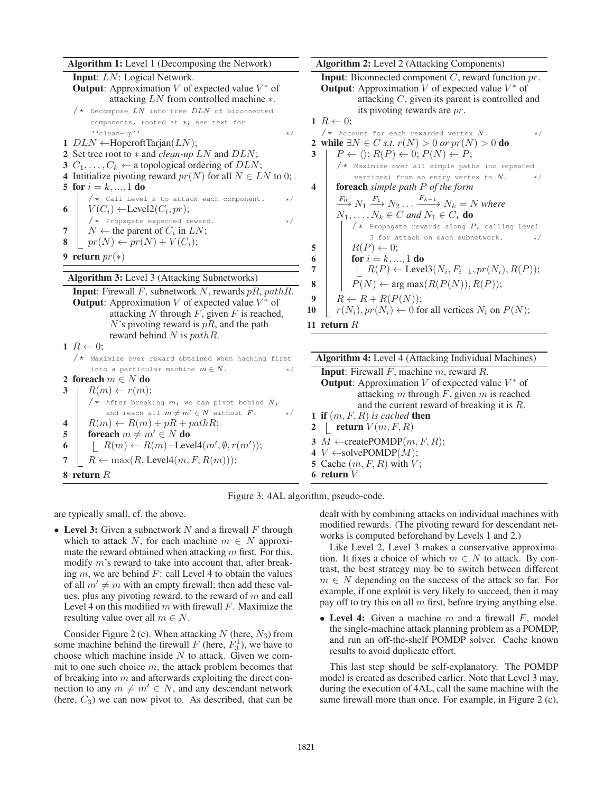Algorithm 1: Level 1 (Decomposing the Network) Input: LN: Logical Network. **Output:** Approximation  $V$  of expected value  $V^*$  of attacking LN from controlled machine ∗.  $/*$  Decompose  $LN$  into tree  $DLN$  of biconnected components, rooted at ∗; see text for  $\text{``clean-up''}.$ 1  $DLN \leftarrow$ HopcroftTarjan( $LN$ ); 2 Set tree root to ∗ and *clean-up* LN and DLN; 3  $C_1, \ldots, C_k \leftarrow$  a topological ordering of  $DLN$ ; 4 Intitialize pivoting reward  $pr(N)$  for all  $N \in LN$  to 0; 5 for  $i = k, ..., 1$  do  $/*$  Call Level 2 to attack each component.  $*/$ 6  $\mid V(C_i) \leftarrow \text{Level2}(C_i, pr);$  $/*$  Propagate expected reward.  $*/$ 7  $\mid N \leftarrow$  the parent of  $C_i$  in  $LN$ ; 8  $\mid pr(N) \leftarrow pr(N) + V(C_i);$ 9 return  $pr(*)$ Algorithm 3: Level 3 (Attacking Subnetworks) **Input:** Firewall  $F$ , subnetwork  $N$ , rewards  $pR$ ,  $pathR$ . **Output:** Approximation V of expected value  $V^*$  of attacking  $N$  through  $F$ , given  $F$  is reached,  $N$ 's pivoting reward is  $pR$ , and the path reward behind  $N$  is  $pathR$ .  $1 R \leftarrow 0;$ /\* Maximize over reward obtained when hacking first

into a particular machine  $m \in N$ .

6 |  $R(m) \leftarrow R(m) + \text{Level4}(m', \emptyset, r(m'));$ 7 |  $R \leftarrow \max(R, \text{Level4}(m, F, R(m)));$ 

4 |  $R(m) \leftarrow R(m) + pR + pathR;$ 5 foreach  $m \neq m' \in N$  do

 $/*$  After breaking  $m$ , we can pivot behind  $N$ , and reach all  $m \neq m' \in N$  without  $F$ . \*/

Algorithm 2: Level 2 (Attacking Components) **Input:** Biconnected component  $C$ , reward function  $pr$ . **Output:** Approximation  $\overline{V}$  of expected value  $V^*$  of attacking C, given its parent is controlled and its pivoting rewards are pr. 1  $R \leftarrow 0$ ;  $/*$  Account for each rewarded vertex  $N$ . \*/ 2 while  $\exists N \in C \text{ s.t. } r(N) > 0 \text{ or } pr(N) > 0 \text{ do}$  $3 \mid P \leftarrow \langle \rangle; R(P) \leftarrow 0; P(N) \leftarrow P;$ /\* Maximize over all simple paths (no repeated vertices) from an entry vertex to  $N$ .  $*/$ 4 foreach *simple path* P *of the form*  $\frac{F_0}{\longrightarrow} N_1 \stackrel{F_1}{\longrightarrow} N_2 \ldots \stackrel{F_{k-1}}{\longrightarrow} N_k = N$  where  $N_1, \ldots, N_k \in C$  and  $N_1 \in C_*$  **do**  $/*$  Propagate rewards along  $P$ , calling Level 3 for attack on each subnetwork. 5 |  $R(P) \leftarrow 0;$ 6 **for**  $i = k, ..., 1$  do 7  $\mid \cdot \mid R(P) \leftarrow \text{Level3}(N_i, F_{i-1}, pr(N_i), R(P));$ 8  $\vert P(N) \leftarrow \arg \max(R(P(N)), R(P));$ 9 |  $R \leftarrow R + R(P(N));$ 10  $r(N_i)$ ,  $pr(N_i) \leftarrow 0$  for all vertices  $N_i$  on  $P(N)$ ; 11 return  $R$ Algorithm 4: Level 4 (Attacking Individual Machines)

Input: Firewall F, machine m, reward R. **Output:** Approximation  $V$  of expected value  $V^*$  of attacking m through  $F$ , given m is reached and the current reward of breaking it is R. **1** if  $(m, F, R)$  *is cached* then **Preturn**  $V(m, F, R)$ 3  $M \leftarrow$ createPOMDP $(m, F, R)$ ; 4  $V \leftarrow$ solvePOMDP $(M)$ ; 5 Cache  $(m, F, R)$  with  $V$ ; 6 return V



are typically small, cf. the above.

2 foreach  $m \in N$  do  $3 \mid R(m) \leftarrow r(m);$ 

8 return R

• Level 3: Given a subnetwork N and a firewall F through which to attack N, for each machine  $m \in N$  approximate the reward obtained when attacking  $m$  first. For this, modify m's reward to take into account that, after breaking  $m$ , we are behind  $F$ : call Level 4 to obtain the values of all  $m' \neq m$  with an empty firewall; then add these values, plus any pivoting reward, to the reward of  $m$  and call Level 4 on this modified  $m$  with firewall  $F$ . Maximize the resulting value over all  $m \in N$ .

Consider Figure 2 (c). When attacking  $N$  (here,  $N_3$ ) from some machine behind the firewall  $F$  (here,  $F_3^1$ ), we have to choose which machine inside  $N$  to attack. Given we commit to one such choice  $m$ , the attack problem becomes that of breaking into  $m$  and afterwards exploiting the direct connection to any  $m \neq m' \in N$ , and any descendant network (here,  $C_3$ ) we can now pivot to. As described, that can be

dealt with by combining attacks on individual machines with modified rewards. (The pivoting reward for descendant networks is computed beforehand by Levels 1 and 2.)

Like Level 2, Level 3 makes a conservative approximation. It fixes a choice of which  $m \in N$  to attack. By contrast, the best strategy may be to switch between different  $m \in N$  depending on the success of the attack so far. For example, if one exploit is very likely to succeed, then it may pay off to try this on all  $m$  first, before trying anything else.

• Level 4: Given a machine  $m$  and a firewall  $F$ , model the single-machine attack planning problem as a POMDP, and run an off-the-shelf POMDP solver. Cache known results to avoid duplicate effort.

This last step should be self-explanatory. The POMDP model is created as described earlier. Note that Level 3 may, during the execution of 4AL, call the same machine with the same firewall more than once. For example, in Figure 2 (c),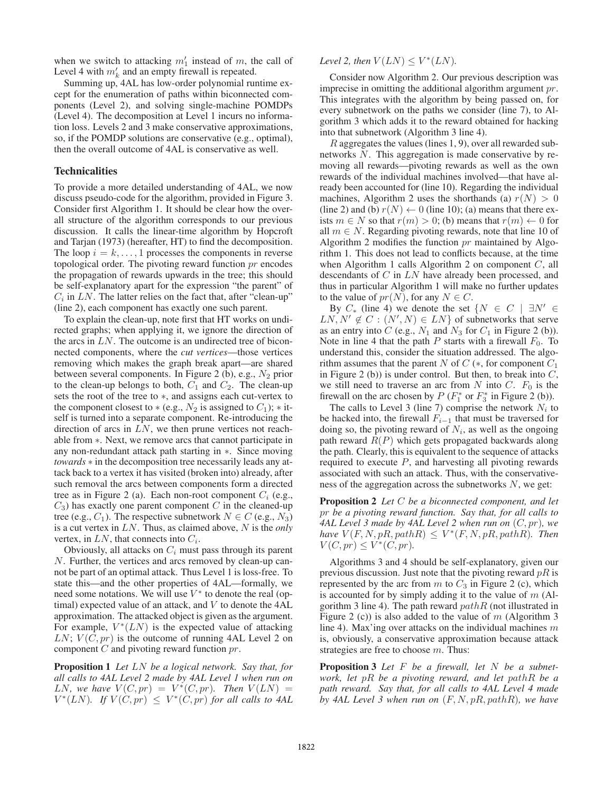when we switch to attacking  $m'_1$  instead of m, the call of Level 4 with  $m'_k$  and an empty firewall is repeated.

Summing up, 4AL has low-order polynomial runtime except for the enumeration of paths within biconnected components (Level 2), and solving single-machine POMDPs (Level 4). The decomposition at Level 1 incurs no information loss. Levels 2 and 3 make conservative approximations, so, if the POMDP solutions are conservative (e.g., optimal), then the overall outcome of 4AL is conservative as well.

#### Technicalities

To provide a more detailed understanding of 4AL, we now discuss pseudo-code for the algorithm, provided in Figure 3. Consider first Algorithm 1. It should be clear how the overall structure of the algorithm corresponds to our previous discussion. It calls the linear-time algorithm by Hopcroft and Tarjan (1973) (hereafter, HT) to find the decomposition. The loop  $i = k, \ldots, 1$  processes the components in reverse topological order. The pivoting reward function pr encodes the propagation of rewards upwards in the tree; this should be self-explanatory apart for the expression "the parent" of  $C_i$  in LN. The latter relies on the fact that, after "clean-up" (line 2), each component has exactly one such parent.

To explain the clean-up, note first that HT works on undirected graphs; when applying it, we ignore the direction of the arcs in  $LN$ . The outcome is an undirected tree of biconnected components, where the *cut vertices*—those vertices removing which makes the graph break apart—are shared between several components. In Figure 2 (b), e.g.,  $N_2$  prior to the clean-up belongs to both,  $C_1$  and  $C_2$ . The clean-up sets the root of the tree to ∗, and assigns each cut-vertex to the component closest to  $*(e.g., N_2$  is assigned to  $C_1$ );  $*$  itself is turned into a separate component. Re-introducing the direction of arcs in  $LN$ , we then prune vertices not reachable from ∗. Next, we remove arcs that cannot participate in any non-redundant attack path starting in ∗. Since moving *towards* ∗ in the decomposition tree necessarily leads any attack back to a vertex it has visited (broken into) already, after such removal the arcs between components form a directed tree as in Figure 2 (a). Each non-root component  $C_i$  (e.g.,  $C_3$ ) has exactly one parent component C in the cleaned-up tree (e.g.,  $C_1$ ). The respective subnetwork  $N \in C$  (e.g.,  $N_3$ ) is a cut vertex in LN. Thus, as claimed above, N is the *only* vertex, in  $LN$ , that connects into  $C_i$ .

Obviously, all attacks on  $C_i$  must pass through its parent N. Further, the vertices and arcs removed by clean-up cannot be part of an optimal attack. Thus Level 1 is loss-free. To state this—and the other properties of 4AL—formally, we need some notations. We will use  $V^*$  to denote the real (optimal) expected value of an attack, and V to denote the 4AL approximation. The attacked object is given as the argument. For example,  $V^*(LN)$  is the expected value of attacking  $LN$ ;  $V(C, pr)$  is the outcome of running 4AL Level 2 on component  $C$  and pivoting reward function  $pr$ .

Proposition 1 *Let* LN *be a logical network. Say that, for all calls to 4AL Level 2 made by 4AL Level 1 when run on* LN, we have  $V(C, pr) = V^*(C, pr)$ . Then  $V(LN) =$  $V^*(LN)$ . If  $V(C, pr) \leq V^*(C, pr)$  for all calls to 4AL

## Level 2, then  $V(LN) \leq V^*(LN)$ .

Consider now Algorithm 2. Our previous description was imprecise in omitting the additional algorithm argument pr. This integrates with the algorithm by being passed on, for every subnetwork on the paths we consider (line 7), to Algorithm 3 which adds it to the reward obtained for hacking into that subnetwork (Algorithm 3 line 4).

R aggregates the values (lines 1, 9), over all rewarded subnetworks N. This aggregation is made conservative by removing all rewards—pivoting rewards as well as the own rewards of the individual machines involved—that have already been accounted for (line 10). Regarding the individual machines, Algorithm 2 uses the shorthands (a)  $r(N) > 0$ (line 2) and (b)  $r(N) \leftarrow 0$  (line 10); (a) means that there exists  $m \in N$  so that  $r(m) > 0$ ; (b) means that  $r(m) \leftarrow 0$  for all  $m \in N$ . Regarding pivoting rewards, note that line 10 of Algorithm 2 modifies the function  $pr$  maintained by Algorithm 1. This does not lead to conflicts because, at the time when Algorithm 1 calls Algorithm 2 on component  $C$ , all descendants of C in LN have already been processed, and thus in particular Algorithm 1 will make no further updates to the value of  $pr(N)$ , for any  $N \in C$ .

By  $C_*$  (line 4) we denote the set  $\{N \in C \mid \exists N' \in C \}$  $LN, N' \notin C : (N', N) \in LN$  of subnetworks that serve as an entry into C (e.g.,  $N_1$  and  $N_3$  for  $C_1$  in Figure 2 (b)). Note in line 4 that the path  $P$  starts with a firewall  $F_0$ . To understand this, consider the situation addressed. The algorithm assumes that the parent  $N$  of  $C$  (\*, for component  $C_1$ in Figure 2 (b)) is under control. But then, to break into  $C$ , we still need to traverse an arc from N into C.  $F_0$  is the firewall on the arc chosen by  $P(F_1^*$  or  $F_3^*$  in Figure 2 (b)).

The calls to Level 3 (line 7) comprise the network  $N_i$  to be hacked into, the firewall  $F_{i-1}$  that must be traversed for doing so, the pivoting reward of  $N_i$ , as well as the ongoing path reward  $R(P)$  which gets propagated backwards along the path. Clearly, this is equivalent to the sequence of attacks required to execute  $P$ , and harvesting all pivoting rewards associated with such an attack. Thus, with the conservativeness of the aggregation across the subnetworks  $N$ , we get:

Proposition 2 *Let* C *be a biconnected component, and let* pr *be a pivoting reward function. Say that, for all calls to 4AL Level 3 made by 4AL Level 2 when run on* (C, pr)*, we*  $have V(F, N, pR, path R) \leq V^*(F, N, pR, path R)$ . Then  $V(C, pr) \leq V^*(C, pr).$ 

Algorithms 3 and 4 should be self-explanatory, given our previous discussion. Just note that the pivoting reward  $pR$  is represented by the arc from  $m$  to  $C_3$  in Figure 2 (c), which is accounted for by simply adding it to the value of  $m$  (Algorithm 3 line 4). The path reward  $pathR$  (not illustrated in Figure 2 (c)) is also added to the value of  $m$  (Algorithm 3 line 4). Max'ing over attacks on the individual machines m is, obviously, a conservative approximation because attack strategies are free to choose  $m$ . Thus:

Proposition 3 *Let* F *be a firewall, let* N *be a subnetwork, let* pR *be a pivoting reward, and let* pathR *be a path reward. Say that, for all calls to 4AL Level 4 made by 4AL Level 3 when run on* (F, N, pR, pathR)*, we have*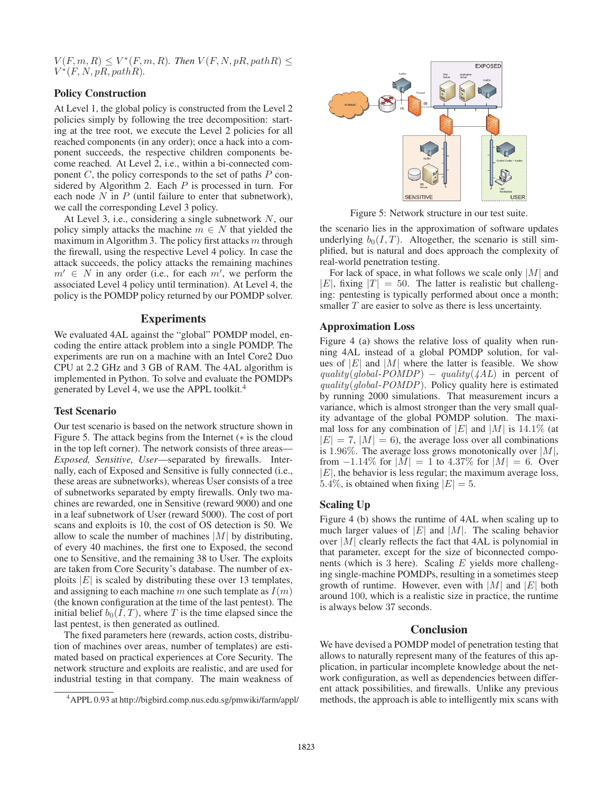$V(F, m, R) \leq V^*(F, m, R)$ . Then  $V(F, N, pR, pathR) \leq$  $V^*(F, N, pR, pathR)$ .

# Policy Construction

At Level 1, the global policy is constructed from the Level 2 policies simply by following the tree decomposition: starting at the tree root, we execute the Level 2 policies for all reached components (in any order); once a hack into a component succeeds, the respective children components become reached. At Level 2, i.e., within a bi-connected component  $C$ , the policy corresponds to the set of paths  $P$  considered by Algorithm 2. Each  $P$  is processed in turn. For each node  $N$  in  $P$  (until failure to enter that subnetwork), we call the corresponding Level 3 policy.

At Level 3, i.e., considering a single subnetwork N, our policy simply attacks the machine  $m \in N$  that yielded the maximum in Algorithm 3. The policy first attacks  $m$  through the firewall, using the respective Level 4 policy. In case the attack succeeds, the policy attacks the remaining machines  $m' \in N$  in any order (i.e., for each  $m'$ , we perform the associated Level 4 policy until termination). At Level 4, the policy is the POMDP policy returned by our POMDP solver.

### Experiments

We evaluated 4AL against the "global" POMDP model, encoding the entire attack problem into a single POMDP. The experiments are run on a machine with an Intel Core2 Duo CPU at 2.2 GHz and 3 GB of RAM. The 4AL algorithm is implemented in Python. To solve and evaluate the POMDPs generated by Level 4, we use the APPL toolkit.<sup>4</sup>

# Test Scenario

Our test scenario is based on the network structure shown in Figure 5. The attack begins from the Internet (∗ is the cloud in the top left corner). The network consists of three areas— *Exposed, Sensitive, User*—separated by firewalls. Internally, each of Exposed and Sensitive is fully connected (i.e., these areas are subnetworks), whereas User consists of a tree of subnetworks separated by empty firewalls. Only two machines are rewarded, one in Sensitive (reward 9000) and one in a leaf subnetwork of User (reward 5000). The cost of port scans and exploits is 10, the cost of OS detection is 50. We allow to scale the number of machines  $|M|$  by distributing, of every 40 machines, the first one to Exposed, the second one to Sensitive, and the remaining 38 to User. The exploits are taken from Core Security's database. The number of exploits  $|E|$  is scaled by distributing these over 13 templates, and assigning to each machine m one such template as  $I(m)$ (the known configuration at the time of the last pentest). The initial belief  $b_0(I, T)$ , where T is the time elapsed since the last pentest, is then generated as outlined.

The fixed parameters here (rewards, action costs, distribution of machines over areas, number of templates) are estimated based on practical experiences at Core Security. The network structure and exploits are realistic, and are used for industrial testing in that company. The main weakness of



Figure 5: Network structure in our test suite.

the scenario lies in the approximation of software updates underlying  $b_0(I, T)$ . Altogether, the scenario is still simplified, but is natural and does approach the complexity of real-world penetration testing.

For lack of space, in what follows we scale only  $|M|$  and  $|E|$ , fixing  $|T| = 50$ . The latter is realistic but challenging: pentesting is typically performed about once a month; smaller T are easier to solve as there is less uncertainty.

### Approximation Loss

Figure 4 (a) shows the relative loss of quality when running 4AL instead of a global POMDP solution, for values of  $|E|$  and  $|M|$  where the latter is feasible. We show  $quality(global-POMDP) - quality(AAL)$  in percent of  $quality(global-POMDP)$ . Policy quality here is estimated by running 2000 simulations. That measurement incurs a variance, which is almost stronger than the very small quality advantage of the global POMDP solution. The maximal loss for any combination of  $|E|$  and  $|M|$  is 14.1% (at  $|E| = 7$ ,  $|M| = 6$ ), the average loss over all combinations is 1.96%. The average loss grows monotonically over  $|M|$ , from  $-1.14\%$  for  $|M| = 1$  to  $4.37\%$  for  $|M| = 6$ . Over  $|E|$ , the behavior is less regular; the maximum average loss, 5.4%, is obtained when fixing  $|E| = 5$ .

# Scaling Up

Figure 4 (b) shows the runtime of 4AL when scaling up to much larger values of  $|E|$  and  $|M|$ . The scaling behavior over  $|M|$  clearly reflects the fact that 4AL is polynomial in that parameter, except for the size of biconnected components (which is 3 here). Scaling  $E$  yields more challenging single-machine POMDPs, resulting in a sometimes steep growth of runtime. However, even with  $|M|$  and  $|E|$  both around 100, which is a realistic size in practice, the runtime is always below 37 seconds.

### **Conclusion**

We have devised a POMDP model of penetration testing that allows to naturally represent many of the features of this application, in particular incomplete knowledge about the network configuration, as well as dependencies between different attack possibilities, and firewalls. Unlike any previous methods, the approach is able to intelligently mix scans with

<sup>4</sup>APPL 0.93 at http://bigbird.comp.nus.edu.sg/pmwiki/farm/appl/